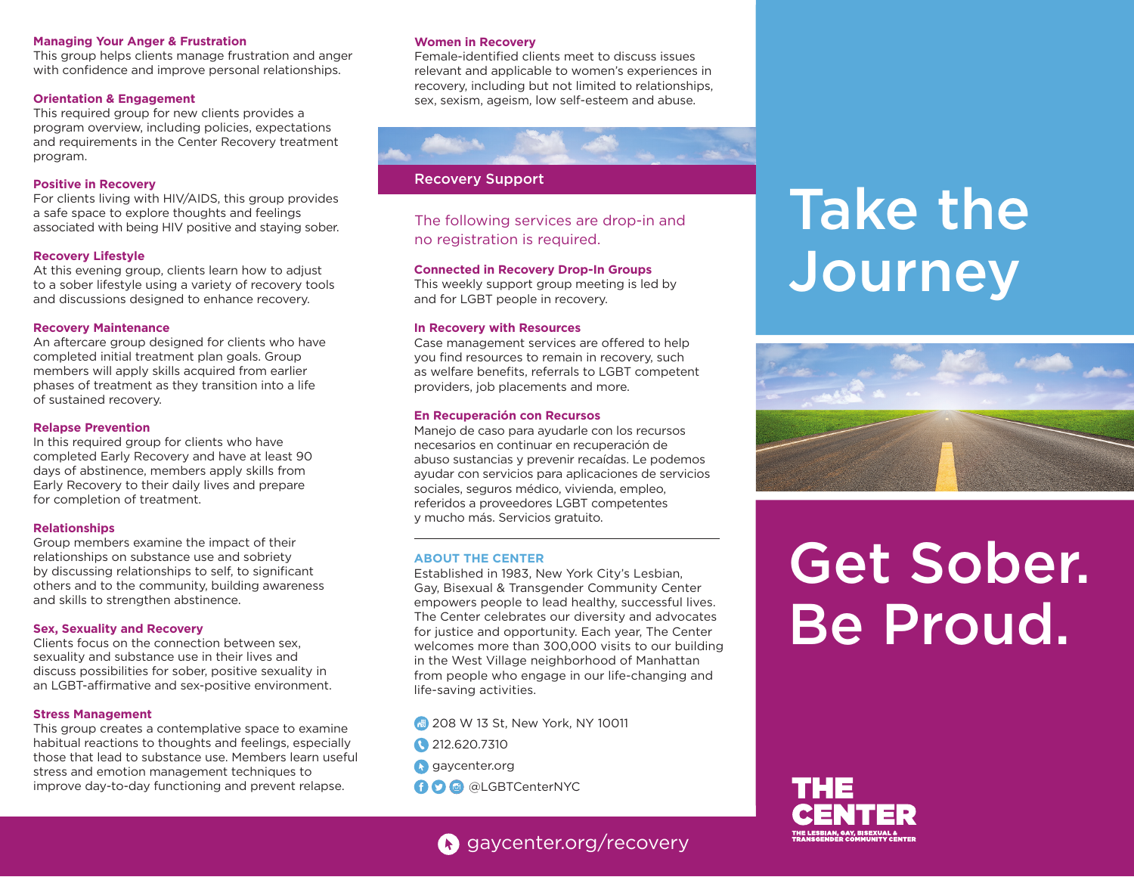#### **Managing Your Anger & Frustration**

This group helps clients manage frustration and anger with confidence and improve personal relationships.

### **Orientation & Engagement**

This required group for new clients provides a program overview, including policies, expectations and requirements in the Center Recovery treatment program.

#### **Positive in Recovery**

For clients living with HIV/AIDS, this group provides a safe space to explore thoughts and feelings associated with being HIV positive and staying sober.

#### **Recovery Lifestyle**

At this evening group, clients learn how to adjust to a sober lifestyle using a variety of recovery tools and discussions designed to enhance recovery.

#### **Recovery Maintenance**

An aftercare group designed for clients who have completed initial treatment plan goals. Group members will apply skills acquired from earlier phases of treatment as they transition into a life of sustained recovery.

#### **Relapse Prevention**

In this required group for clients who have completed Early Recovery and have at least 90 days of abstinence, members apply skills from Early Recovery to their daily lives and prepare for completion of treatment.

# **Relationships**

Group members examine the impact of their relationships on substance use and sobriety by discussing relationships to self, to significant others and to the community, building awareness and skills to strengthen abstinence.

#### **Sex, Sexuality and Recovery**

Clients focus on the connection between sex, sexuality and substance use in their lives and discuss possibilities for sober, positive sexuality in an LGBT-affirmative and sex-positive environment.

#### **Stress Management**

This group creates a contemplative space to examine habitual reactions to thoughts and feelings, especially those that lead to substance use. Members learn useful stress and emotion management techniques to improve day-to-day functioning and prevent relapse.

#### **Women in Recovery**

Female-identified clients meet to discuss issues relevant and applicable to women's experiences in recovery, including but not limited to relationships, sex, sexism, ageism, low self-esteem and abuse.



# Recovery Support

The following services are drop-in and no registration is required.

#### **Connected in Recovery Drop-In Groups**

This weekly support group meeting is led by and for LGBT people in recovery.

#### **In Recovery with Resources**

Case management services are offered to help you find resources to remain in recovery, such as welfare benefits, referrals to LGBT competent providers, job placements and more.

#### **En Recuperación con Recursos**

Manejo de caso para ayudarle con los recursos necesarios en continuar en recuperación de abuso sustancias y prevenir recaídas. Le podemos ayudar con servicios para aplicaciones de servicios sociales, seguros médico, vivienda, empleo, referidos a proveedores LGBT competentes y mucho más. Servicios gratuito.

#### **ABOUT THE CENTER**

Established in 1983, New York City's Lesbian, Gay, Bisexual & Transgender Community Center empowers people to lead healthy, successful lives. The Center celebrates our diversity and advocates for justice and opportunity. Each year, The Center welcomes more than 300,000 visits to our building in the West Village neighborhood of Manhattan from people who engage in our life-changing and life-saving activities.

- **4** 208 W 13 St, New York, NY 10011
- 212.620.7310
- **G** gaycenter.org
- **O @** @LGBTCenterNYC

# gaycenter.org/recovery

# Take the **Journey**



# Get Sober. Be Proud.